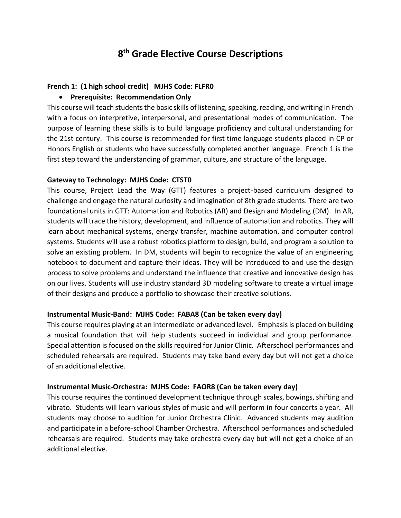# **8 th Grade Elective Course Descriptions**

## **French 1: (1 high school credit) MJHS Code: FLFR0**

# **Prerequisite: Recommendation Only**

This course will teach students the basic skills of listening, speaking, reading, and writing in French with a focus on interpretive, interpersonal, and presentational modes of communication. The purpose of learning these skills is to build language proficiency and cultural understanding for the 21st century. This course is recommended for first time language students placed in CP or Honors English or students who have successfully completed another language. French 1 is the first step toward the understanding of grammar, culture, and structure of the language.

## **Gateway to Technology: MJHS Code: CTST0**

This course, Project Lead the Way (GTT) features a project-based curriculum designed to challenge and engage the natural curiosity and imagination of 8th grade students. There are two foundational units in GTT: Automation and Robotics (AR) and Design and Modeling (DM). In AR, students will trace the history, development, and influence of automation and robotics. They will learn about mechanical systems, energy transfer, machine automation, and computer control systems. Students will use a robust robotics platform to design, build, and program a solution to solve an existing problem. In DM, students will begin to recognize the value of an engineering notebook to document and capture their ideas. They will be introduced to and use the design process to solve problems and understand the influence that creative and innovative design has on our lives. Students will use industry standard 3D modeling software to create a virtual image of their designs and produce a portfolio to showcase their creative solutions.

#### **Instrumental Music-Band: MJHS Code: FABA8 (Can be taken every day)**

This course requires playing at an intermediate or advanced level. Emphasis is placed on building a musical foundation that will help students succeed in individual and group performance. Special attention is focused on the skills required for Junior Clinic. Afterschool performances and scheduled rehearsals are required. Students may take band every day but will not get a choice of an additional elective.

# **Instrumental Music-Orchestra: MJHS Code: FAOR8 (Can be taken every day)**

This course requires the continued development technique through scales, bowings, shifting and vibrato. Students will learn various styles of music and will perform in four concerts a year. All students may choose to audition for Junior Orchestra Clinic. Advanced students may audition and participate in a before-school Chamber Orchestra. Afterschool performances and scheduled rehearsals are required. Students may take orchestra every day but will not get a choice of an additional elective.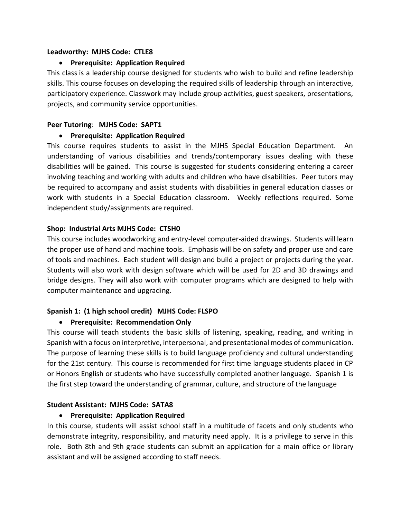#### **Leadworthy: MJHS Code: CTLE8**

## **Prerequisite: Application Required**

This class is a leadership course designed for students who wish to build and refine leadership skills. This course focuses on developing the required skills of leadership through an interactive, participatory experience. Classwork may include group activities, guest speakers, presentations, projects, and community service opportunities.

### **Peer Tutoring**: **MJHS Code: SAPT1**

## **Prerequisite: Application Required**

This course requires students to assist in the MJHS Special Education Department. An understanding of various disabilities and trends/contemporary issues dealing with these disabilities will be gained. This course is suggested for students considering entering a career involving teaching and working with adults and children who have disabilities. Peer tutors may be required to accompany and assist students with disabilities in general education classes or work with students in a Special Education classroom. Weekly reflections required. Some independent study/assignments are required.

## **Shop: Industrial Arts MJHS Code: CTSH0**

This course includes woodworking and entry-level computer-aided drawings. Students will learn the proper use of hand and machine tools. Emphasis will be on safety and proper use and care of tools and machines. Each student will design and build a project or projects during the year. Students will also work with design software which will be used for 2D and 3D drawings and bridge designs. They will also work with computer programs which are designed to help with computer maintenance and upgrading.

# **Spanish 1: (1 high school credit) MJHS Code: FLSPO**

# **Prerequisite: Recommendation Only**

This course will teach students the basic skills of listening, speaking, reading, and writing in Spanish with a focus on interpretive, interpersonal, and presentational modes of communication. The purpose of learning these skills is to build language proficiency and cultural understanding for the 21st century. This course is recommended for first time language students placed in CP or Honors English or students who have successfully completed another language. Spanish 1 is the first step toward the understanding of grammar, culture, and structure of the language

# **Student Assistant: MJHS Code: SATA8**

# **Prerequisite: Application Required**

In this course, students will assist school staff in a multitude of facets and only students who demonstrate integrity, responsibility, and maturity need apply. It is a privilege to serve in this role. Both 8th and 9th grade students can submit an application for a main office or library assistant and will be assigned according to staff needs.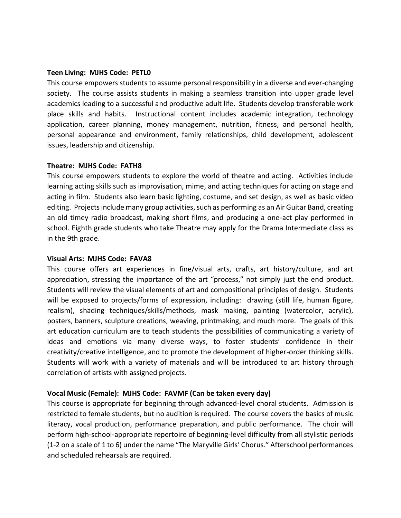#### **Teen Living: MJHS Code: PETL0**

This course empowers students to assume personal responsibility in a diverse and ever-changing society. The course assists students in making a seamless transition into upper grade level academics leading to a successful and productive adult life. Students develop transferable work place skills and habits. Instructional content includes academic integration, technology application, career planning, money management, nutrition, fitness, and personal health, personal appearance and environment, family relationships, child development, adolescent issues, leadership and citizenship.

#### **Theatre: MJHS Code: FATH8**

This course empowers students to explore the world of theatre and acting. Activities include learning acting skills such as improvisation, mime, and acting techniques for acting on stage and acting in film. Students also learn basic lighting, costume, and set design, as well as basic video editing. Projects include many group activities, such as performing as an Air Guitar Band, creating an old timey radio broadcast, making short films, and producing a one-act play performed in school. Eighth grade students who take Theatre may apply for the Drama Intermediate class as in the 9th grade.

#### **Visual Arts: MJHS Code: FAVA8**

This course offers art experiences in fine/visual arts, crafts, art history/culture, and art appreciation, stressing the importance of the art "process," not simply just the end product. Students will review the visual elements of art and compositional principles of design. Students will be exposed to projects/forms of expression, including: drawing (still life, human figure, realism), shading techniques/skills/methods, mask making, painting (watercolor, acrylic), posters, banners, sculpture creations, weaving, printmaking, and much more. The goals of this art education curriculum are to teach students the possibilities of communicating a variety of ideas and emotions via many diverse ways, to foster students' confidence in their creativity/creative intelligence, and to promote the development of higher-order thinking skills. Students will work with a variety of materials and will be introduced to art history through correlation of artists with assigned projects.

#### **Vocal Music (Female): MJHS Code: FAVMF (Can be taken every day)**

This course is appropriate for beginning through advanced-level choral students. Admission is restricted to female students, but no audition is required. The course covers the basics of music literacy, vocal production, performance preparation, and public performance. The choir will perform high-school-appropriate repertoire of beginning-level difficulty from all stylistic periods (1-2 on a scale of 1 to 6) under the name "The Maryville Girls' Chorus." Afterschool performances and scheduled rehearsals are required.